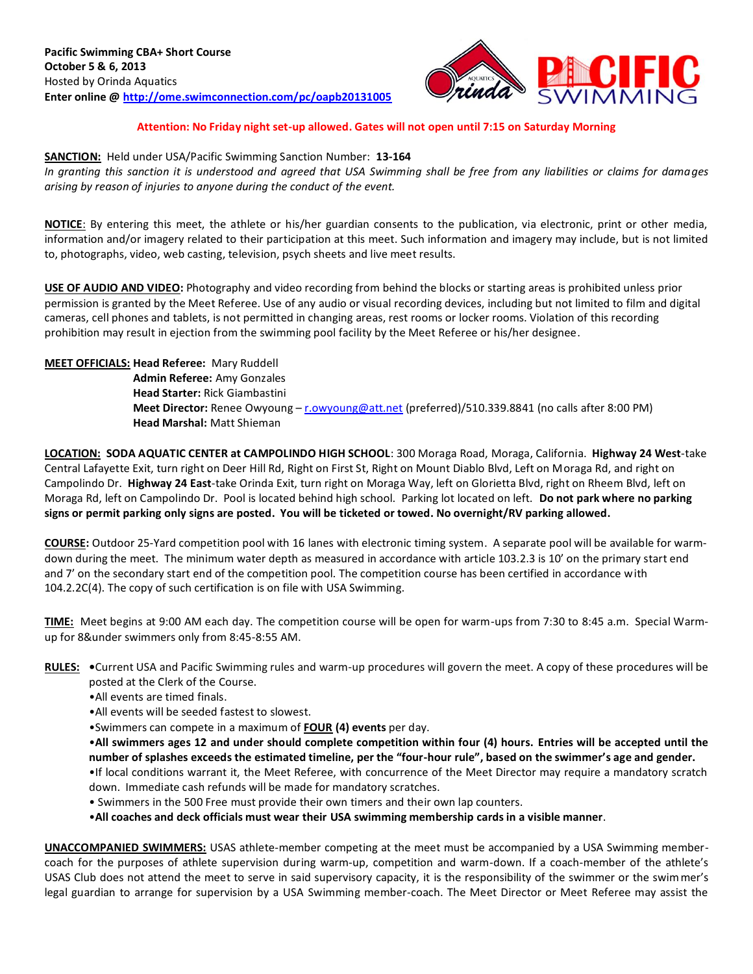

## **Attention: No Friday night set-up allowed. Gates will not open until 7:15 on Saturday Morning**

#### **SANCTION:** Held under USA/Pacific Swimming Sanction Number: **13-164**

*In granting this sanction it is understood and agreed that USA Swimming shall be free from any liabilities or claims for damages arising by reason of injuries to anyone during the conduct of the event.*

**NOTICE**: By entering this meet, the athlete or his/her guardian consents to the publication, via electronic, print or other media, information and/or imagery related to their participation at this meet. Such information and imagery may include, but is not limited to, photographs, video, web casting, television, psych sheets and live meet results.

**USE OF AUDIO AND VIDEO:** Photography and video recording from behind the blocks or starting areas is prohibited unless prior permission is granted by the Meet Referee. Use of any audio or visual recording devices, including but not limited to film and digital cameras, cell phones and tablets, is not permitted in changing areas, rest rooms or locker rooms. Violation of this recording prohibition may result in ejection from the swimming pool facility by the Meet Referee or his/her designee.

## **MEET OFFICIALS: Head Referee:** Mary Ruddell

**Admin Referee:** Amy Gonzales **Head Starter:** Rick Giambastini **Meet Director:** Renee Owyoung – [r.owyoung@att.net](mailto:r.owyoung@att.net) (preferred)/510.339.8841 (no calls after 8:00 PM) **Head Marshal:** Matt Shieman

**LOCATION: SODA AQUATIC CENTER at CAMPOLINDO HIGH SCHOOL**: 300 Moraga Road, Moraga, California. **Highway 24 West**-take Central Lafayette Exit, turn right on Deer Hill Rd, Right on First St, Right on Mount Diablo Blvd, Left on Moraga Rd, and right on Campolindo Dr. **Highway 24 East**-take Orinda Exit, turn right on Moraga Way, left on Glorietta Blvd, right on Rheem Blvd, left on Moraga Rd, left on Campolindo Dr. Pool is located behind high school. Parking lot located on left. **Do not park where no parking signs or permit parking only signs are posted. You will be ticketed or towed. No overnight/RV parking allowed.**

**COURSE:** Outdoor 25-Yard competition pool with 16 lanes with electronic timing system. A separate pool will be available for warmdown during the meet. The minimum water depth as measured in accordance with article 103.2.3 is 10' on the primary start end and 7' on the secondary start end of the competition pool. The competition course has been certified in accordance with 104.2.2C(4). The copy of such certification is on file with USA Swimming.

**TIME:** Meet begins at 9:00 AM each day. The competition course will be open for warm-ups from 7:30 to 8:45 a.m. Special Warmup for 8&under swimmers only from 8:45-8:55 AM.

- **RULES: •**Current USA and Pacific Swimming rules and warm-up procedures will govern the meet. A copy of these procedures will be posted at the Clerk of the Course.
	- •All events are timed finals.
	- •All events will be seeded fastest to slowest.
	- •Swimmers can compete in a maximum of **FOUR (4) events** per day.
	- •**All swimmers ages 12 and under should complete competition within four (4) hours. Entries will be accepted until the number of splashes exceeds the estimated timeline, per the "four-hour rule", based on the swimmer's age and gender.**
	- •If local conditions warrant it, the Meet Referee, with concurrence of the Meet Director may require a mandatory scratch down. Immediate cash refunds will be made for mandatory scratches.
	- Swimmers in the 500 Free must provide their own timers and their own lap counters.
	- •**All coaches and deck officials must wear their USA swimming membership cards in a visible manner**.

**UNACCOMPANIED SWIMMERS:** USAS athlete-member competing at the meet must be accompanied by a USA Swimming membercoach for the purposes of athlete supervision during warm-up, competition and warm-down. If a coach-member of the athlete's USAS Club does not attend the meet to serve in said supervisory capacity, it is the responsibility of the swimmer or the swimmer's legal guardian to arrange for supervision by a USA Swimming member-coach. The Meet Director or Meet Referee may assist the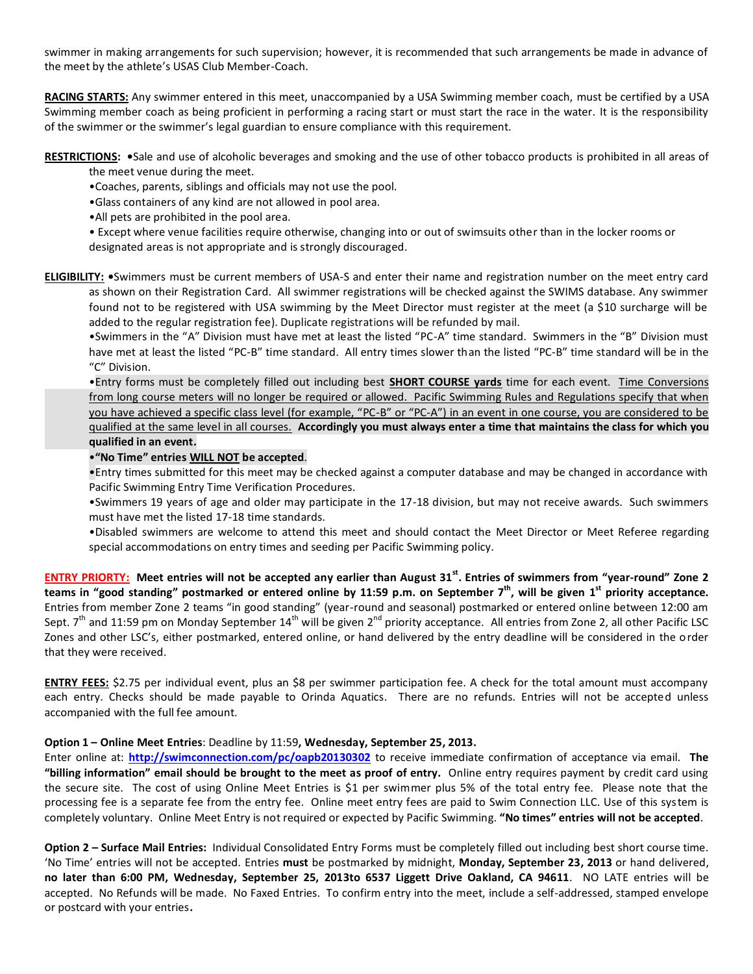swimmer in making arrangements for such supervision; however, it is recommended that such arrangements be made in advance of the meet by the athlete's USAS Club Member-Coach.

**RACING STARTS:** Any swimmer entered in this meet, unaccompanied by a USA Swimming member coach, must be certified by a USA Swimming member coach as being proficient in performing a racing start or must start the race in the water. It is the responsibility of the swimmer or the swimmer's legal guardian to ensure compliance with this requirement.

**RESTRICTIONS: •**Sale and use of alcoholic beverages and smoking and the use of other tobacco products is prohibited in all areas of

- the meet venue during the meet.
- •Coaches, parents, siblings and officials may not use the pool.
- •Glass containers of any kind are not allowed in pool area.
- •All pets are prohibited in the pool area.

• Except where venue facilities require otherwise, changing into or out of swimsuits other than in the locker rooms or designated areas is not appropriate and is strongly discouraged.

**ELIGIBILITY: •**Swimmers must be current members of USA-S and enter their name and registration number on the meet entry card as shown on their Registration Card. All swimmer registrations will be checked against the SWIMS database. Any swimmer found not to be registered with USA swimming by the Meet Director must register at the meet (a \$10 surcharge will be added to the regular registration fee). Duplicate registrations will be refunded by mail.

•Swimmers in the "A" Division must have met at least the listed "PC-A" time standard. Swimmers in the "B" Division must have met at least the listed "PC-B" time standard. All entry times slower than the listed "PC-B" time standard will be in the "C" Division.

•Entry forms must be completely filled out including best **SHORT COURSE yards** time for each event. Time Conversions from long course meters will no longer be required or allowed. Pacific Swimming Rules and Regulations specify that when you have achieved a specific class level (for example, "PC-B" or "PC-A") in an event in one course, you are considered to be qualified at the same level in all courses. **Accordingly you must always enter a time that maintains the class for which you qualified in an event.** 

# •**"No Time" entries WILL NOT be accepted**.

•Entry times submitted for this meet may be checked against a computer database and may be changed in accordance with Pacific Swimming Entry Time Verification Procedures.

•Swimmers 19 years of age and older may participate in the 17-18 division, but may not receive awards. Such swimmers must have met the listed 17-18 time standards.

•Disabled swimmers are welcome to attend this meet and should contact the Meet Director or Meet Referee regarding special accommodations on entry times and seeding per Pacific Swimming policy.

**ENTRY PRIORTY: Meet entries will not be accepted any earlier than August 31st . Entries of swimmers from "year-round" Zone 2 teams in "good standing" postmarked or entered online by 11:59 p.m. on September 7th , will be given 1 st priority acceptance.** Entries from member Zone 2 teams "in good standing" (year-round and seasonal) postmarked or entered online between 12:00 am Sept.  $7<sup>th</sup>$  and 11:59 pm on Monday September 14<sup>th</sup> will be given  $2<sup>nd</sup>$  priority acceptance. All entries from Zone 2, all other Pacific LSC Zones and other LSC's, either postmarked, entered online, or hand delivered by the entry deadline will be considered in the order that they were received.

**ENTRY FEES:** \$2.75 per individual event, plus an \$8 per swimmer participation fee. A check for the total amount must accompany each entry. Checks should be made payable to Orinda Aquatics. There are no refunds. Entries will not be accepted unless accompanied with the full fee amount.

# **Option 1 – Online Meet Entries**: Deadline by 11:59**, Wednesday, September 25, 2013.**

Enter online at: **<http://swimconnection.com/pc/oapb20130302>** to receive immediate confirmation of acceptance via email. **The "billing information" email should be brought to the meet as proof of entry.** Online entry requires payment by credit card using the secure site. The cost of using Online Meet Entries is \$1 per swimmer plus 5% of the total entry fee. Please note that the processing fee is a separate fee from the entry fee. Online meet entry fees are paid to Swim Connection LLC. Use of this system is completely voluntary. Online Meet Entry is not required or expected by Pacific Swimming. **"No times" entries will not be accepted**.

**Option 2 – Surface Mail Entries:** Individual Consolidated Entry Forms must be completely filled out including best short course time. 'No Time' entries will not be accepted. Entries **must** be postmarked by midnight, **Monday, September 23, 2013** or hand delivered, **no later than 6:00 PM, Wednesday, September 25, 2013to 6537 Liggett Drive Oakland, CA 94611**. NO LATE entries will be accepted. No Refunds will be made. No Faxed Entries. To confirm entry into the meet, include a self-addressed, stamped envelope or postcard with your entries**.**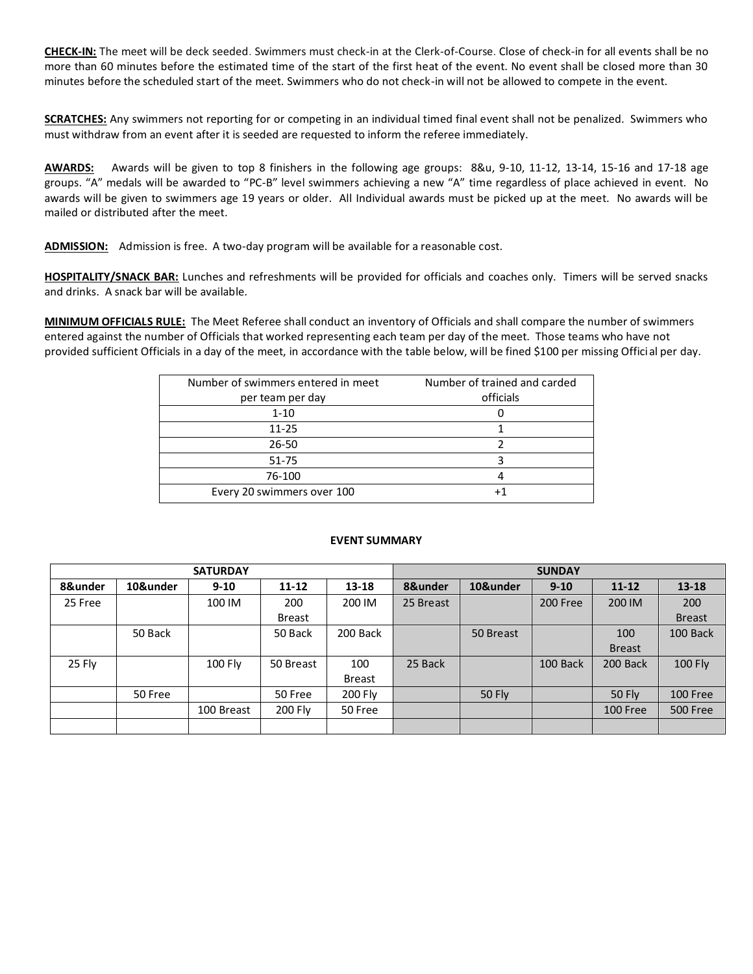**CHECK-IN:** The meet will be deck seeded. Swimmers must check-in at the Clerk-of-Course. Close of check-in for all events shall be no more than 60 minutes before the estimated time of the start of the first heat of the event. No event shall be closed more than 30 minutes before the scheduled start of the meet. Swimmers who do not check-in will not be allowed to compete in the event.

**SCRATCHES:** Any swimmers not reporting for or competing in an individual timed final event shall not be penalized. Swimmers who must withdraw from an event after it is seeded are requested to inform the referee immediately.

**AWARDS:** Awards will be given to top 8 finishers in the following age groups: 8&u, 9-10, 11-12, 13-14, 15-16 and 17-18 age groups. "A" medals will be awarded to "PC-B" level swimmers achieving a new "A" time regardless of place achieved in event. No awards will be given to swimmers age 19 years or older. All Individual awards must be picked up at the meet. No awards will be mailed or distributed after the meet.

**ADMISSION:** Admission is free. A two-day program will be available for a reasonable cost.

**HOSPITALITY/SNACK BAR:** Lunches and refreshments will be provided for officials and coaches only. Timers will be served snacks and drinks. A snack bar will be available.

**MINIMUM OFFICIALS RULE:** The Meet Referee shall conduct an inventory of Officials and shall compare the number of swimmers entered against the number of Officials that worked representing each team per day of the meet. Those teams who have not provided sufficient Officials in a day of the meet, in accordance with the table below, will be fined \$100 per missing Official per day.

| Number of swimmers entered in meet | Number of trained and carded |  |  |  |  |  |
|------------------------------------|------------------------------|--|--|--|--|--|
| per team per day                   | officials                    |  |  |  |  |  |
| $1 - 10$                           |                              |  |  |  |  |  |
| $11 - 25$                          |                              |  |  |  |  |  |
| $26 - 50$                          |                              |  |  |  |  |  |
| 51-75                              |                              |  |  |  |  |  |
| 76-100                             | 4                            |  |  |  |  |  |
| Every 20 swimmers over 100         |                              |  |  |  |  |  |

### **EVENT SUMMARY**

|         |          | <b>SATURDAY</b> |           |               |           |               | <b>SUNDAY</b> |               |                 |
|---------|----------|-----------------|-----------|---------------|-----------|---------------|---------------|---------------|-----------------|
| 8&under | 10&under | $9 - 10$        | $11 - 12$ | $13 - 18$     | 8&under   | 10&under      | $9 - 10$      | $11 - 12$     | $13 - 18$       |
| 25 Free |          | 100 IM          | 200       | 200 IM        | 25 Breast |               | 200 Free      | 200 IM        | 200             |
|         |          |                 | Breast    |               |           |               |               |               | <b>Breast</b>   |
|         | 50 Back  |                 | 50 Back   | 200 Back      |           | 50 Breast     |               | 100           | 100 Back        |
|         |          |                 |           |               |           |               |               | <b>Breast</b> |                 |
| 25 Fly  |          | 100 Fly         | 50 Breast | 100           | 25 Back   |               | 100 Back      | 200 Back      | 100 Fly         |
|         |          |                 |           | <b>Breast</b> |           |               |               |               |                 |
|         | 50 Free  |                 | 50 Free   | 200 Fly       |           | <b>50 Fly</b> |               | <b>50 Fly</b> | 100 Free        |
|         |          | 100 Breast      | 200 Fly   | 50 Free       |           |               |               | 100 Free      | <b>500 Free</b> |
|         |          |                 |           |               |           |               |               |               |                 |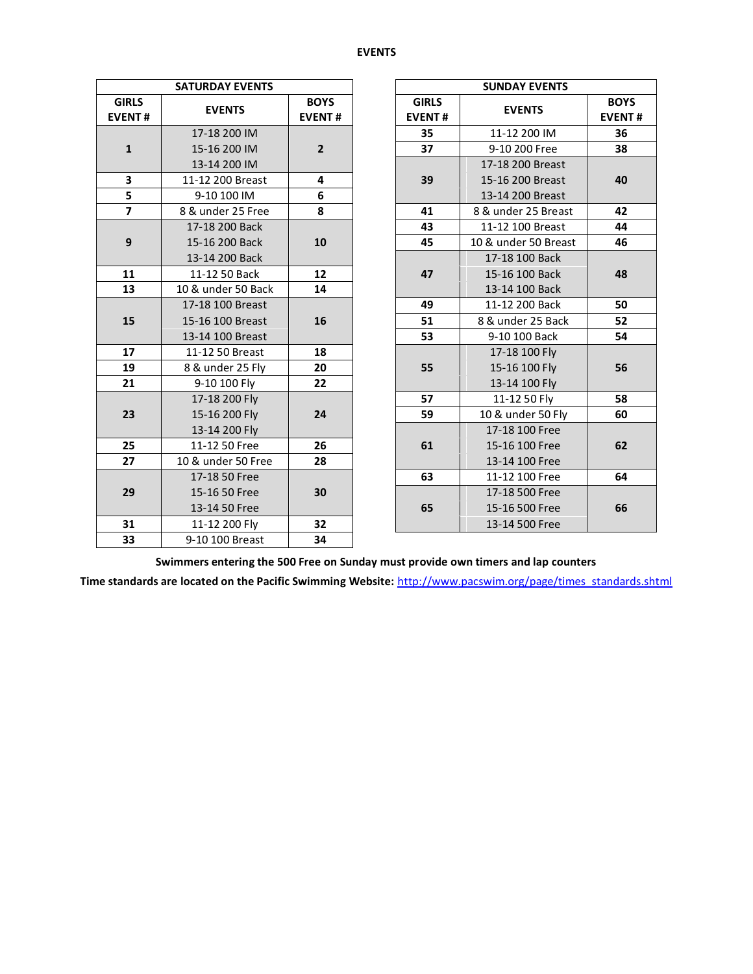#### **EVENTS**

|                               | <b>SATURDAY EVENTS</b> |                              |  |                               | <b>SUNDAY EVENTS</b> |                           |  |  |  |  |
|-------------------------------|------------------------|------------------------------|--|-------------------------------|----------------------|---------------------------|--|--|--|--|
| <b>GIRLS</b><br><b>EVENT#</b> | <b>EVENTS</b>          | <b>BOYS</b><br><b>EVENT#</b> |  | <b>GIRLS</b><br><b>EVENT#</b> | <b>EVENTS</b>        | <b>BOY</b><br><b>EVEN</b> |  |  |  |  |
|                               | 17-18 200 IM           |                              |  | 35                            | 11-12 200 IM         | 36                        |  |  |  |  |
| $\mathbf{1}$                  | 15-16 200 IM           | $2^{\circ}$                  |  | 37                            | 9-10 200 Free        | 38                        |  |  |  |  |
|                               | 13-14 200 IM           |                              |  |                               | 17-18 200 Breast     |                           |  |  |  |  |
| 3                             | 11-12 200 Breast       | 4                            |  | 39                            | 15-16 200 Breast     | 40                        |  |  |  |  |
| 5                             | 9-10 100 IM            | 6                            |  |                               | 13-14 200 Breast     |                           |  |  |  |  |
| $\overline{7}$                | 8 & under 25 Free      | 8                            |  | 41                            | 8 & under 25 Breast  | 42                        |  |  |  |  |
|                               | 17-18 200 Back         |                              |  | 43                            | 11-12 100 Breast     | 44                        |  |  |  |  |
| 9                             | 15-16 200 Back         | 10                           |  | 45                            | 10 & under 50 Breast | 46                        |  |  |  |  |
|                               | 13-14 200 Back         |                              |  |                               | 17-18 100 Back       |                           |  |  |  |  |
| 11                            | 11-12 50 Back          | 12 <sup>2</sup>              |  | 47                            | 15-16 100 Back       | 48                        |  |  |  |  |
| 13                            | 10 & under 50 Back     | 14                           |  |                               | 13-14 100 Back       |                           |  |  |  |  |
|                               | 17-18 100 Breast       |                              |  | 49                            | 11-12 200 Back       | 50                        |  |  |  |  |
| 15                            | 15-16 100 Breast       | 16                           |  | 51                            | 8 & under 25 Back    | 52                        |  |  |  |  |
|                               | 13-14 100 Breast       |                              |  | 53                            | 9-10 100 Back        | 54                        |  |  |  |  |
| 17                            | 11-12 50 Breast        | 18                           |  |                               | 17-18 100 Fly        |                           |  |  |  |  |
| 19                            | 8 & under 25 Fly       | 20                           |  | 55                            | 15-16 100 Fly        | 56                        |  |  |  |  |
| 21                            | 9-10 100 Fly           | 22                           |  |                               | 13-14 100 Fly        |                           |  |  |  |  |
|                               | 17-18 200 Fly          |                              |  | 57                            | 11-12 50 Fly         | 58                        |  |  |  |  |
| 23                            | 15-16 200 Fly          | 24                           |  | 59                            | 10 & under 50 Fly    | 60                        |  |  |  |  |
|                               | 13-14 200 Fly          |                              |  |                               | 17-18 100 Free       |                           |  |  |  |  |
| 25                            | 11-12 50 Free          | 26                           |  | 61                            | 15-16 100 Free       | 62                        |  |  |  |  |
| 27                            | 10 & under 50 Free     | 28                           |  |                               | 13-14 100 Free       |                           |  |  |  |  |
|                               | 17-18 50 Free          |                              |  | 63                            | 11-12 100 Free       | 64                        |  |  |  |  |
| 29                            | 15-16 50 Free          | 30                           |  |                               | 17-18 500 Free       |                           |  |  |  |  |
|                               | 13-14 50 Free          |                              |  | 65                            | 15-16 500 Free       | 66                        |  |  |  |  |
| 31                            | 11-12 200 Fly          | 32                           |  |                               | 13-14 500 Free       |                           |  |  |  |  |
| 33                            | 9-10 100 Breast        | 34                           |  |                               |                      |                           |  |  |  |  |

| <b>ATURDAY EVENTS</b> |                              | <b>SUNDAY EVENTS</b><br><b>GIRLS</b><br><b>BOYS</b><br><b>EVENTS</b><br><b>EVENT#</b><br>11-12 200 IM<br>35<br>36<br>9-10 200 Free<br>37<br>38<br>17-18 200 Breast<br>39<br>15-16 200 Breast<br>40<br>13-14 200 Breast<br>8 & under 25 Breast<br>42<br>41<br>43<br>11-12 100 Breast<br>44<br>45<br>10 & under 50 Breast<br>46<br>17-18 100 Back<br>15-16 100 Back<br>47<br>48 |                   |               |  |  |  |
|-----------------------|------------------------------|-------------------------------------------------------------------------------------------------------------------------------------------------------------------------------------------------------------------------------------------------------------------------------------------------------------------------------------------------------------------------------|-------------------|---------------|--|--|--|
| <b>EVENTS</b>         | <b>BOYS</b><br><b>EVENT#</b> |                                                                                                                                                                                                                                                                                                                                                                               |                   | <b>EVENT#</b> |  |  |  |
| 17-18 200 IM          |                              |                                                                                                                                                                                                                                                                                                                                                                               |                   |               |  |  |  |
| 15-16 200 IM          | $\overline{2}$               |                                                                                                                                                                                                                                                                                                                                                                               |                   |               |  |  |  |
| 13-14 200 IM          |                              |                                                                                                                                                                                                                                                                                                                                                                               |                   |               |  |  |  |
| 11-12 200 Breast      | 4                            |                                                                                                                                                                                                                                                                                                                                                                               |                   |               |  |  |  |
| 9-10 100 IM           | 6                            |                                                                                                                                                                                                                                                                                                                                                                               |                   |               |  |  |  |
| 8 & under 25 Free     | 8                            |                                                                                                                                                                                                                                                                                                                                                                               |                   |               |  |  |  |
| 17-18 200 Back        |                              |                                                                                                                                                                                                                                                                                                                                                                               |                   |               |  |  |  |
| 15-16 200 Back        | 10                           |                                                                                                                                                                                                                                                                                                                                                                               |                   |               |  |  |  |
| 13-14 200 Back        |                              |                                                                                                                                                                                                                                                                                                                                                                               |                   |               |  |  |  |
| 11-12 50 Back         | 12                           |                                                                                                                                                                                                                                                                                                                                                                               |                   |               |  |  |  |
| 0 & under 50 Back     | 14                           |                                                                                                                                                                                                                                                                                                                                                                               | 13-14 100 Back    |               |  |  |  |
| 17-18 100 Breast      |                              | 49                                                                                                                                                                                                                                                                                                                                                                            | 11-12 200 Back    | 50            |  |  |  |
| 15-16 100 Breast      | 16                           | 51                                                                                                                                                                                                                                                                                                                                                                            | 8 & under 25 Back | 52            |  |  |  |
| 13-14 100 Breast      |                              | 53                                                                                                                                                                                                                                                                                                                                                                            | 9-10 100 Back     | 54            |  |  |  |
| 11-12 50 Breast       | 18                           |                                                                                                                                                                                                                                                                                                                                                                               | 17-18 100 Fly     |               |  |  |  |
| 8 & under 25 Fly      | 20                           | 55                                                                                                                                                                                                                                                                                                                                                                            | 15-16 100 Fly     | 56            |  |  |  |
| 9-10 100 Fly          | 22                           |                                                                                                                                                                                                                                                                                                                                                                               | 13-14 100 Fly     |               |  |  |  |
| 17-18 200 Fly         |                              | 57                                                                                                                                                                                                                                                                                                                                                                            | 11-12 50 Fly      | 58            |  |  |  |
| 15-16 200 Fly         | 24                           | 59                                                                                                                                                                                                                                                                                                                                                                            | 10 & under 50 Fly | 60            |  |  |  |
| 13-14 200 Fly         |                              |                                                                                                                                                                                                                                                                                                                                                                               | 17-18 100 Free    |               |  |  |  |
| 11-12 50 Free         | 26                           | 61                                                                                                                                                                                                                                                                                                                                                                            | 15-16 100 Free    | 62            |  |  |  |
| 0 & under 50 Free     | 28                           |                                                                                                                                                                                                                                                                                                                                                                               | 13-14 100 Free    |               |  |  |  |
| 17-18 50 Free         |                              | 63                                                                                                                                                                                                                                                                                                                                                                            | 11-12 100 Free    | 64            |  |  |  |
| 15-16 50 Free         | 30                           |                                                                                                                                                                                                                                                                                                                                                                               | 17-18 500 Free    |               |  |  |  |
| 13-14 50 Free         |                              | 65                                                                                                                                                                                                                                                                                                                                                                            | 15-16 500 Free    | 66            |  |  |  |
| 11-12 200 Fly         | 32                           |                                                                                                                                                                                                                                                                                                                                                                               | 13-14 500 Free    |               |  |  |  |
|                       |                              |                                                                                                                                                                                                                                                                                                                                                                               |                   |               |  |  |  |

**Swimmers entering the 500 Free on Sunday must provide own timers and lap counters**

**Time standards are located on the Pacific Swimming Website:** [http://www.pacswim.org/page/times\\_standards.shtml](http://www.pacswim.org/page/times_standards.shtml)